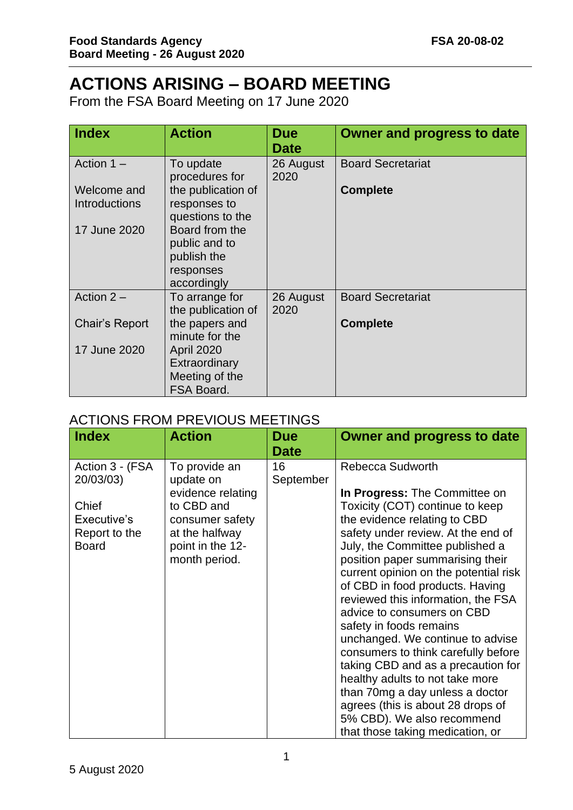## **ACTIONS ARISING – BOARD MEETING**

From the FSA Board Meeting on 17 June 2020

| <b>Index</b>                        | <b>Action</b>                                                              | <b>Due</b><br><b>Date</b> | <b>Owner and progress to date</b> |
|-------------------------------------|----------------------------------------------------------------------------|---------------------------|-----------------------------------|
| Action $1 -$                        | To update<br>procedures for                                                | 26 August<br>2020         | <b>Board Secretariat</b>          |
| Welcome and<br><b>Introductions</b> | the publication of<br>responses to<br>questions to the                     |                           | <b>Complete</b>                   |
| 17 June 2020                        | Board from the<br>public and to<br>publish the<br>responses<br>accordingly |                           |                                   |
| Action $2-$                         | To arrange for<br>the publication of                                       | 26 August<br>2020         | <b>Board Secretariat</b>          |
| Chair's Report                      | the papers and<br>minute for the                                           |                           | <b>Complete</b>                   |
| 17 June 2020                        | <b>April 2020</b><br>Extraordinary<br>Meeting of the<br>FSA Board.         |                           |                                   |

## ACTIONS FROM PREVIOUS MEETINGS

| <b>Index</b>                                          | <b>Action</b>                                                                                             | <b>Due</b><br><b>Date</b> | <b>Owner and progress to date</b>                                                                                                                                                                                                                                                                                                                                                                                                                                                                                                                                                                                                                                                      |
|-------------------------------------------------------|-----------------------------------------------------------------------------------------------------------|---------------------------|----------------------------------------------------------------------------------------------------------------------------------------------------------------------------------------------------------------------------------------------------------------------------------------------------------------------------------------------------------------------------------------------------------------------------------------------------------------------------------------------------------------------------------------------------------------------------------------------------------------------------------------------------------------------------------------|
| Action 3 - (FSA<br>20/03/03)                          | To provide an<br>update on                                                                                | 16<br>September           | <b>Rebecca Sudworth</b>                                                                                                                                                                                                                                                                                                                                                                                                                                                                                                                                                                                                                                                                |
| Chief<br>Executive's<br>Report to the<br><b>Board</b> | evidence relating<br>to CBD and<br>consumer safety<br>at the halfway<br>point in the 12-<br>month period. |                           | In Progress: The Committee on<br>Toxicity (COT) continue to keep<br>the evidence relating to CBD<br>safety under review. At the end of<br>July, the Committee published a<br>position paper summarising their<br>current opinion on the potential risk<br>of CBD in food products. Having<br>reviewed this information, the FSA<br>advice to consumers on CBD<br>safety in foods remains<br>unchanged. We continue to advise<br>consumers to think carefully before<br>taking CBD and as a precaution for<br>healthy adults to not take more<br>than 70mg a day unless a doctor<br>agrees (this is about 28 drops of<br>5% CBD). We also recommend<br>that those taking medication, or |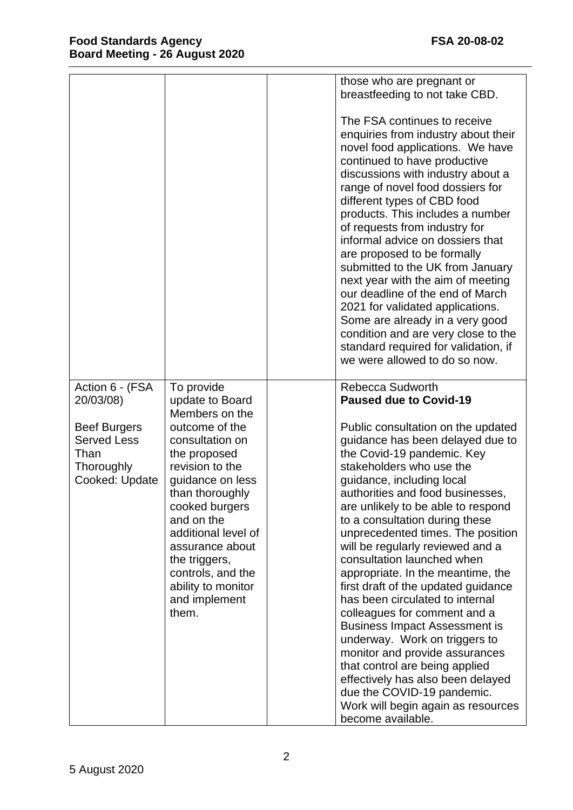|                                                                                                                   |                                                                                                                                                                                                                                                                                                                                | those who are pregnant or                                                                                                                                                                                                                                                                                                                                                                                                                                                                                                                                                                                                                                                                                                                                                                                   |
|-------------------------------------------------------------------------------------------------------------------|--------------------------------------------------------------------------------------------------------------------------------------------------------------------------------------------------------------------------------------------------------------------------------------------------------------------------------|-------------------------------------------------------------------------------------------------------------------------------------------------------------------------------------------------------------------------------------------------------------------------------------------------------------------------------------------------------------------------------------------------------------------------------------------------------------------------------------------------------------------------------------------------------------------------------------------------------------------------------------------------------------------------------------------------------------------------------------------------------------------------------------------------------------|
|                                                                                                                   |                                                                                                                                                                                                                                                                                                                                | breastfeeding to not take CBD.                                                                                                                                                                                                                                                                                                                                                                                                                                                                                                                                                                                                                                                                                                                                                                              |
|                                                                                                                   |                                                                                                                                                                                                                                                                                                                                | The FSA continues to receive<br>enquiries from industry about their<br>novel food applications. We have<br>continued to have productive<br>discussions with industry about a<br>range of novel food dossiers for<br>different types of CBD food<br>products. This includes a number<br>of requests from industry for<br>informal advice on dossiers that<br>are proposed to be formally<br>submitted to the UK from January<br>next year with the aim of meeting<br>our deadline of the end of March<br>2021 for validated applications.<br>Some are already in a very good<br>condition and are very close to the<br>standard required for validation, if<br>we were allowed to do so now.                                                                                                                 |
|                                                                                                                   |                                                                                                                                                                                                                                                                                                                                |                                                                                                                                                                                                                                                                                                                                                                                                                                                                                                                                                                                                                                                                                                                                                                                                             |
| Action 6 - (FSA<br>20/03/08)<br><b>Beef Burgers</b><br><b>Served Less</b><br>Than<br>Thoroughly<br>Cooked: Update | To provide<br>update to Board<br>Members on the<br>outcome of the<br>consultation on<br>the proposed<br>revision to the<br>guidance on less<br>than thoroughly<br>cooked burgers<br>and on the<br>additional level of<br>assurance about<br>the triggers,<br>controls, and the<br>ability to monitor<br>and implement<br>them. | <b>Rebecca Sudworth</b><br><b>Paused due to Covid-19</b><br>Public consultation on the updated<br>guidance has been delayed due to<br>the Covid-19 pandemic. Key<br>stakeholders who use the<br>guidance, including local<br>authorities and food businesses,<br>are unlikely to be able to respond<br>to a consultation during these<br>unprecedented times. The position<br>will be regularly reviewed and a<br>consultation launched when<br>appropriate. In the meantime, the<br>first draft of the updated guidance<br>has been circulated to internal<br>colleagues for comment and a<br><b>Business Impact Assessment is</b><br>underway. Work on triggers to<br>monitor and provide assurances<br>that control are being applied<br>effectively has also been delayed<br>due the COVID-19 pandemic. |
|                                                                                                                   |                                                                                                                                                                                                                                                                                                                                | Work will begin again as resources<br>become available.                                                                                                                                                                                                                                                                                                                                                                                                                                                                                                                                                                                                                                                                                                                                                     |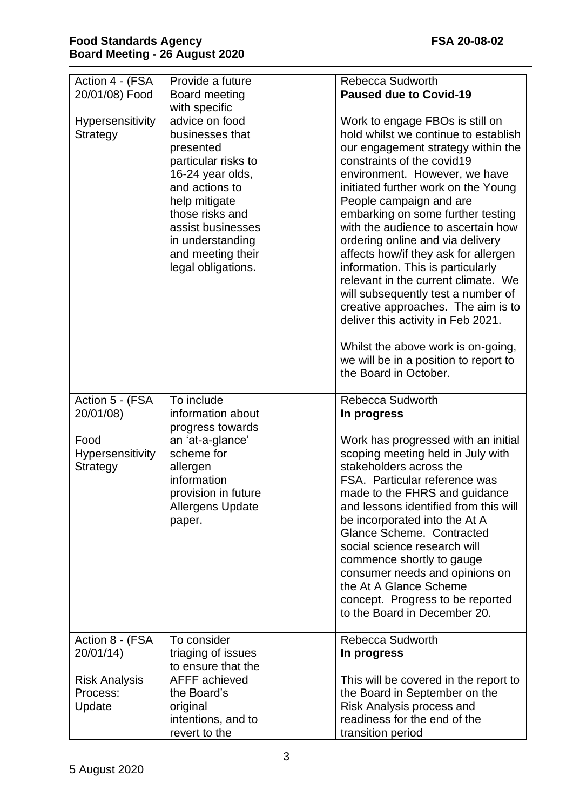| Action 4 - (FSA<br>20/01/08) Food<br>Hypersensitivity<br>Strategy           | Provide a future<br>Board meeting<br>with specific<br>advice on food<br>businesses that<br>presented<br>particular risks to<br>16-24 year olds,<br>and actions to<br>help mitigate<br>those risks and<br>assist businesses<br>in understanding<br>and meeting their<br>legal obligations. | <b>Rebecca Sudworth</b><br><b>Paused due to Covid-19</b><br>Work to engage FBOs is still on<br>hold whilst we continue to establish<br>our engagement strategy within the<br>constraints of the covid19<br>environment. However, we have<br>initiated further work on the Young<br>People campaign and are<br>embarking on some further testing<br>with the audience to ascertain how<br>ordering online and via delivery<br>affects how/if they ask for allergen<br>information. This is particularly<br>relevant in the current climate. We<br>will subsequently test a number of<br>creative approaches. The aim is to<br>deliver this activity in Feb 2021.<br>Whilst the above work is on-going,<br>we will be in a position to report to<br>the Board in October. |
|-----------------------------------------------------------------------------|-------------------------------------------------------------------------------------------------------------------------------------------------------------------------------------------------------------------------------------------------------------------------------------------|-------------------------------------------------------------------------------------------------------------------------------------------------------------------------------------------------------------------------------------------------------------------------------------------------------------------------------------------------------------------------------------------------------------------------------------------------------------------------------------------------------------------------------------------------------------------------------------------------------------------------------------------------------------------------------------------------------------------------------------------------------------------------|
| Action 5 - (FSA<br>20/01/08)<br>Food<br><b>Hypersensitivity</b><br>Strategy | To include<br>information about<br>progress towards<br>an 'at-a-glance'<br>scheme for<br>allergen<br>information<br>provision in future<br><b>Allergens Update</b><br>paper.                                                                                                              | <b>Rebecca Sudworth</b><br>In progress<br>Work has progressed with an initial<br>scoping meeting held in July with<br>stakeholders across the<br>FSA. Particular reference was<br>made to the FHRS and quidance<br>and lessons identified from this will<br>be incorporated into the At A<br>Glance Scheme. Contracted<br>social science research will<br>commence shortly to gauge<br>consumer needs and opinions on<br>the At A Glance Scheme<br>concept. Progress to be reported<br>to the Board in December 20.                                                                                                                                                                                                                                                     |
| Action 8 - (FSA<br>20/01/14<br><b>Risk Analysis</b><br>Process:<br>Update   | To consider<br>triaging of issues<br>to ensure that the<br>AFFF achieved<br>the Board's<br>original<br>intentions, and to<br>revert to the                                                                                                                                                | <b>Rebecca Sudworth</b><br>In progress<br>This will be covered in the report to<br>the Board in September on the<br>Risk Analysis process and<br>readiness for the end of the<br>transition period                                                                                                                                                                                                                                                                                                                                                                                                                                                                                                                                                                      |